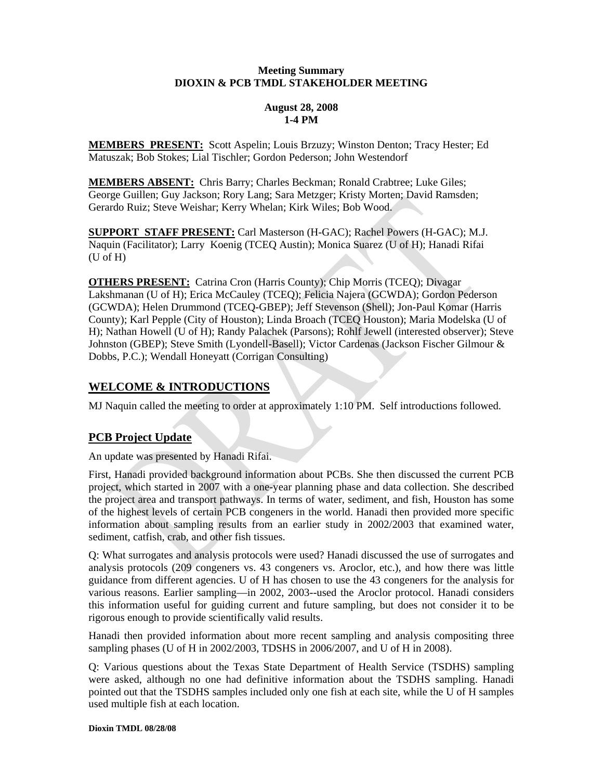#### **Meeting Summary DIOXIN & PCB TMDL STAKEHOLDER MEETING**

#### **August 28, 2008 1-4 PM**

**MEMBERS PRESENT:** Scott Aspelin; Louis Brzuzy; Winston Denton; Tracy Hester; Ed Matuszak; Bob Stokes; Lial Tischler; Gordon Pederson; John Westendorf

**MEMBERS ABSENT:** Chris Barry; Charles Beckman; Ronald Crabtree; Luke Giles; George Guillen; Guy Jackson; Rory Lang; Sara Metzger; Kristy Morten; David Ramsden; Gerardo Ruiz; Steve Weishar; Kerry Whelan; Kirk Wiles; Bob Wood.

**SUPPORT STAFF PRESENT:** Carl Masterson (H-GAC); Rachel Powers (H-GAC); M.J. Naquin (Facilitator); Larry Koenig (TCEQ Austin); Monica Suarez (U of H); Hanadi Rifai (U of H)

**OTHERS PRESENT:** Catrina Cron (Harris County); Chip Morris (TCEQ); Divagar Lakshmanan (U of H); Erica McCauley (TCEQ); Felicia Najera (GCWDA); Gordon Pederson (GCWDA); Helen Drummond (TCEQ-GBEP); Jeff Stevenson (Shell); Jon-Paul Komar (Harris County); Karl Pepple (City of Houston); Linda Broach (TCEQ Houston); Maria Modelska (U of H); Nathan Howell (U of H); Randy Palachek (Parsons); Rohlf Jewell (interested observer); Steve Johnston (GBEP); Steve Smith (Lyondell-Basell); Victor Cardenas (Jackson Fischer Gilmour & Dobbs, P.C.); Wendall Honeyatt (Corrigan Consulting)

# **WELCOME & INTRODUCTIONS**

MJ Naquin called the meeting to order at approximately 1:10 PM. Self introductions followed.

# **PCB Project Update**

An update was presented by Hanadi Rifai.

First, Hanadi provided background information about PCBs. She then discussed the current PCB project, which started in 2007 with a one-year planning phase and data collection. She described the project area and transport pathways. In terms of water, sediment, and fish, Houston has some of the highest levels of certain PCB congeners in the world. Hanadi then provided more specific information about sampling results from an earlier study in 2002/2003 that examined water, sediment, catfish, crab, and other fish tissues.

Q: What surrogates and analysis protocols were used? Hanadi discussed the use of surrogates and analysis protocols (209 congeners vs. 43 congeners vs. Aroclor, etc.), and how there was little guidance from different agencies. U of H has chosen to use the 43 congeners for the analysis for various reasons. Earlier sampling—in 2002, 2003--used the Aroclor protocol. Hanadi considers this information useful for guiding current and future sampling, but does not consider it to be rigorous enough to provide scientifically valid results.

Hanadi then provided information about more recent sampling and analysis compositing three sampling phases (U of H in 2002/2003, TDSHS in 2006/2007, and U of H in 2008).

Q: Various questions about the Texas State Department of Health Service (TSDHS) sampling were asked, although no one had definitive information about the TSDHS sampling. Hanadi pointed out that the TSDHS samples included only one fish at each site, while the U of H samples used multiple fish at each location.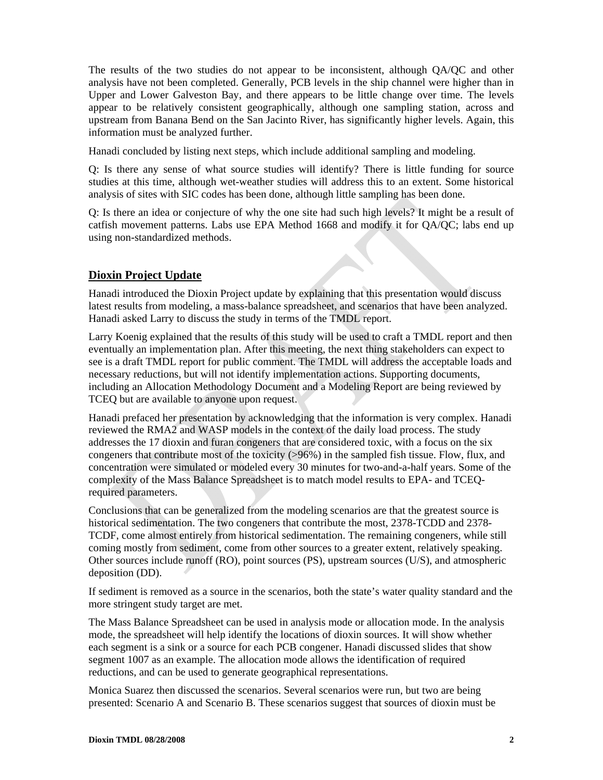The results of the two studies do not appear to be inconsistent, although QA/QC and other analysis have not been completed. Generally, PCB levels in the ship channel were higher than in Upper and Lower Galveston Bay, and there appears to be little change over time. The levels appear to be relatively consistent geographically, although one sampling station, across and upstream from Banana Bend on the San Jacinto River, has significantly higher levels. Again, this information must be analyzed further.

Hanadi concluded by listing next steps, which include additional sampling and modeling.

Q: Is there any sense of what source studies will identify? There is little funding for source studies at this time, although wet-weather studies will address this to an extent. Some historical analysis of sites with SIC codes has been done, although little sampling has been done.

Q: Is there an idea or conjecture of why the one site had such high levels? It might be a result of catfish movement patterns. Labs use EPA Method 1668 and modify it for QA/QC; labs end up using non-standardized methods.

## **Dioxin Project Update**

Hanadi introduced the Dioxin Project update by explaining that this presentation would discuss latest results from modeling, a mass-balance spreadsheet, and scenarios that have been analyzed. Hanadi asked Larry to discuss the study in terms of the TMDL report.

Larry Koenig explained that the results of this study will be used to craft a TMDL report and then eventually an implementation plan. After this meeting, the next thing stakeholders can expect to see is a draft TMDL report for public comment. The TMDL will address the acceptable loads and necessary reductions, but will not identify implementation actions. Supporting documents, including an Allocation Methodology Document and a Modeling Report are being reviewed by TCEQ but are available to anyone upon request.

Hanadi prefaced her presentation by acknowledging that the information is very complex. Hanadi reviewed the RMA2 and WASP models in the context of the daily load process. The study addresses the 17 dioxin and furan congeners that are considered toxic, with a focus on the six congeners that contribute most of the toxicity (>96%) in the sampled fish tissue. Flow, flux, and concentration were simulated or modeled every 30 minutes for two-and-a-half years. Some of the complexity of the Mass Balance Spreadsheet is to match model results to EPA- and TCEQrequired parameters.

Conclusions that can be generalized from the modeling scenarios are that the greatest source is historical sedimentation. The two congeners that contribute the most, 2378-TCDD and 2378- TCDF, come almost entirely from historical sedimentation. The remaining congeners, while still coming mostly from sediment, come from other sources to a greater extent, relatively speaking. Other sources include runoff (RO), point sources (PS), upstream sources (U/S), and atmospheric deposition (DD).

If sediment is removed as a source in the scenarios, both the state's water quality standard and the more stringent study target are met.

The Mass Balance Spreadsheet can be used in analysis mode or allocation mode. In the analysis mode, the spreadsheet will help identify the locations of dioxin sources. It will show whether each segment is a sink or a source for each PCB congener. Hanadi discussed slides that show segment 1007 as an example. The allocation mode allows the identification of required reductions, and can be used to generate geographical representations.

Monica Suarez then discussed the scenarios. Several scenarios were run, but two are being presented: Scenario A and Scenario B. These scenarios suggest that sources of dioxin must be